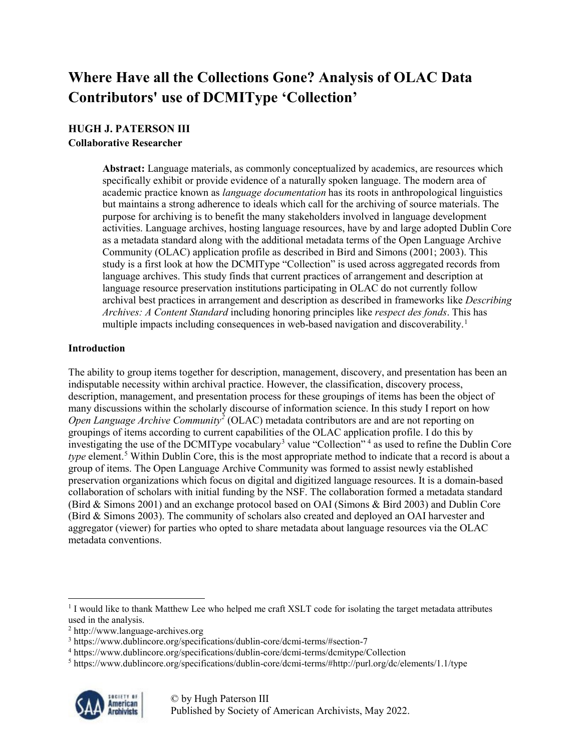# **Where Have all the Collections Gone? Analysis of OLAC Data Contributors' use of DCMIType 'Collection'**

## **HUGH J. PATERSON III**

#### **Collaborative Researcher**

**Abstract:** Language materials, as commonly conceptualized by academics, are resources which specifically exhibit or provide evidence of a naturally spoken language. The modern area of academic practice known as *language documentation* has its roots in anthropological linguistics but maintains a strong adherence to ideals which call for the archiving of source materials. The purpose for archiving is to benefit the many stakeholders involved in language development activities. Language archives, hosting language resources, have by and large adopted Dublin Core as a metadata standard along with the additional metadata terms of the Open Language Archive Community (OLAC) application profile as described in Bird and Simons (2001; 2003). This study is a first look at how the DCMIType "Collection" is used across aggregated records from language archives. This study finds that current practices of arrangement and description at language resource preservation institutions participating in OLAC do not currently follow archival best practices in arrangement and description as described in frameworks like *Describing Archives: A Content Standard* including honoring principles like *respect des fonds*. This has multiple impacts including consequences in web-based navigation and discoverability. [1](#page-0-0)

#### **Introduction**

The ability to group items together for description, management, discovery, and presentation has been an indisputable necessity within archival practice. However, the classification, discovery process, description, management, and presentation process for these groupings of items has been the object of many discussions within the scholarly discourse of information science. In this study I report on how *Open Language Archive Community[2](#page-0-1)* (OLAC) metadata contributors are and are not reporting on groupings of items according to current capabilities of the OLAC application profile. I do this by investigating the use of the DCMIType vocabulary<sup>[3](#page-0-2)</sup> value "Collection"<sup>[4](#page-0-3)</sup> as used to refine the Dublin Core *type* element.<sup>[5](#page-0-4)</sup> Within Dublin Core, this is the most appropriate method to indicate that a record is about a group of items. The Open Language Archive Community was formed to assist newly established preservation organizations which focus on digital and digitized language resources. It is a domain-based collaboration of scholars with initial funding by the NSF. The collaboration formed a metadata standard (Bird & Simons 2001) and an exchange protocol based on OAI (Simons & Bird 2003) and Dublin Core (Bird & Simons 2003). The community of scholars also created and deployed an OAI harvester and aggregator (viewer) for parties who opted to share metadata about language resources via the OLAC metadata conventions.

<span id="page-0-4"></span><sup>5</sup> <https://www.dublincore.org/specifications/dublin-core/dcmi-terms/#http://purl.org/dc/elements/1.1/type>



<span id="page-0-0"></span><sup>&</sup>lt;sup>1</sup> I would like to thank Matthew Lee who helped me craft XSLT code for isolating the target metadata attributes used in the analysis.

<span id="page-0-1"></span><sup>2</sup> [http://www.language-archives.org](http://www.language-archives.org/)

<span id="page-0-2"></span><sup>3</sup> <https://www.dublincore.org/specifications/dublin-core/dcmi-terms/#section-7>

<span id="page-0-3"></span><sup>4</sup> <https://www.dublincore.org/specifications/dublin-core/dcmi-terms/dcmitype/Collection>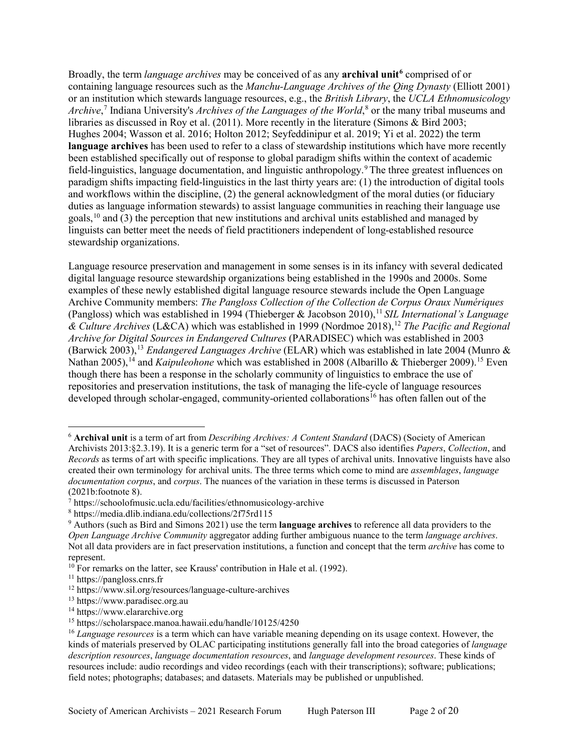Broadly, the term *language archives* may be conceived of as any **archival unit[6](#page-1-0)** comprised of or containing language resources such as the *Manchu-Language Archives of the Qing Dynasty* (Elliott 2001) or an institution which stewards language resources, e.g., the *British Library*, the *UCLA Ethnomusicology Archive*, [7](#page-1-1) Indiana University's *Archives of the Languages of the World*, [8](#page-1-2) or the many tribal museums and libraries as discussed in Roy et al. (2011). More recently in the literature (Simons & Bird 2003; Hughes 2004; Wasson et al. 2016; Holton 2012; Seyfeddinipur et al. 2019; Yi et al. 2022) the term **language archives** has been used to refer to a class of stewardship institutions which have more recently been established specifically out of response to global paradigm shifts within the context of academic field-linguistics, language documentation, and linguistic anthropology.[9](#page-1-3)The three greatest influences on paradigm shifts impacting field-linguistics in the last thirty years are: (1) the introduction of digital tools and workflows within the discipline, (2) the general acknowledgment of the moral duties (or fiduciary duties as language information stewards) to assist language communities in reaching their language use goals,[10](#page-1-4) and (3) the perception that new institutions and archival units established and managed by linguists can better meet the needs of field practitioners independent of long-established resource stewardship organizations.

Language resource preservation and management in some senses is in its infancy with several dedicated digital language resource stewardship organizations being established in the 1990s and 2000s. Some examples of these newly established digital language resource stewards include the Open Language Archive Community members: *The Pangloss Collection of the Collection de Corpus Oraux Numériques* (Pangloss) which was established in 1994 (Thieberger & Jacobson 2010), [11](#page-1-5) *SIL International's Language & Culture Archives* (L&CA) which was established in 1999 (Nordmoe 2018), [12](#page-1-6) *The Pacific and Regional Archive for Digital Sources in Endangered Cultures* (PARADISEC) which was established in 2003 (Barwick 2003), [13](#page-1-7) *Endangered Languages Archive* (ELAR) which was established in late 2004 (Munro & Nathan 2005),<sup>[14](#page-1-8)</sup> and *Kaipuleohone* which was established in 2008 (Albarillo & Thieberger 2009).<sup>[15](#page-1-9)</sup> Even though there has been a response in the scholarly community of linguistics to embrace the use of repositories and preservation institutions, the task of managing the life-cycle of language resources developed through scholar-engaged, community-oriented collaborations<sup>[16](#page-1-10)</sup> has often fallen out of the

<span id="page-1-0"></span> <sup>6</sup> **Archival unit** is a term of art from *Describing Archives: A Content Standard* (DACS) (Society of American Archivists 2013:§2.3.19). It is a generic term for a "set of resources". DACS also identifies *Papers*, *Collection*, and *Records* as terms of art with specific implications. They are all types of archival units. Innovative linguists have also created their own terminology for archival units. The three terms which come to mind are *assemblages*, *language documentation corpus*, and *corpus*. The nuances of the variation in these terms is discussed in Paterson (2021b:footnote 8).

<span id="page-1-1"></span><sup>7</sup> <https://schoolofmusic.ucla.edu/facilities/ethnomusicology-archive>

<span id="page-1-2"></span><sup>8</sup> <https://media.dlib.indiana.edu/collections/2f75rd115>

<span id="page-1-3"></span><sup>9</sup> Authors (such as Bird and Simons 2021) use the term **language archives** to reference all data providers to the *Open Language Archive Community* aggregator adding further ambiguous nuance to the term *language archives*. Not all data providers are in fact preservation institutions, a function and concept that the term *archive* has come to represent.

<span id="page-1-4"></span> $10$  For remarks on the latter, see Krauss' contribution in Hale et al. (1992).

<span id="page-1-5"></span><sup>11</sup> [https://pangloss.cnrs.fr](https://pangloss.cnrs.fr/)

<span id="page-1-6"></span><sup>12</sup> <https://www.sil.org/resources/language-culture-archives>

<span id="page-1-7"></span><sup>13</sup> [https://www.paradisec.org.au](https://www.paradisec.org.au/)

<span id="page-1-8"></span><sup>&</sup>lt;sup>14</sup> [https://www.elararchive.org](https://www.elararchive.org/)

<span id="page-1-9"></span><sup>15</sup> https://scholarspace.manoa.hawaii.edu/handle/10125/4250

<span id="page-1-10"></span><sup>16</sup> *Language resources* is a term which can have variable meaning depending on its usage context. However, the kinds of materials preserved by OLAC participating institutions generally fall into the broad categories of *language description resources*, *language documentation resources*, and *language development resources*. These kinds of resources include: audio recordings and video recordings (each with their transcriptions); software; publications; field notes; photographs; databases; and datasets. Materials may be published or unpublished.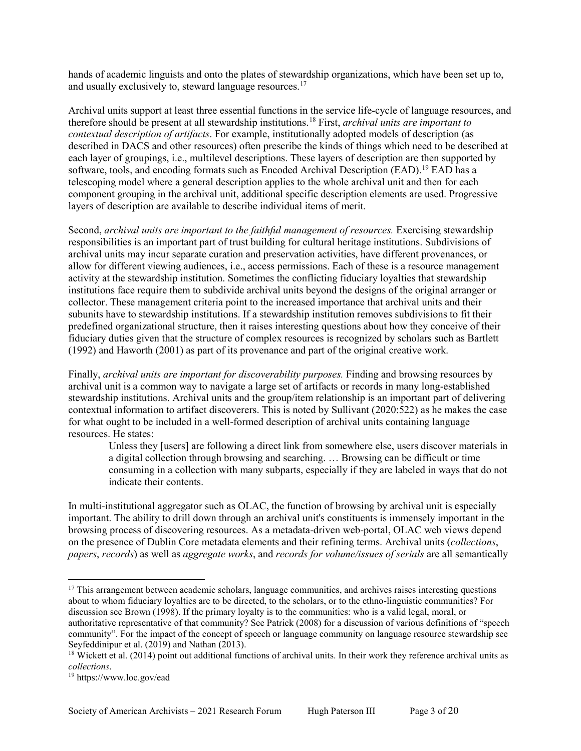hands of academic linguists and onto the plates of stewardship organizations, which have been set up to, and usually exclusively to, steward language resources.<sup>[17](#page-2-0)</sup>

Archival units support at least three essential functions in the service life-cycle of language resources, and therefore should be present at all stewardship institutions.[18](#page-2-1) First, *archival units are important to contextual description of artifacts*. For example, institutionally adopted models of description (as described in DACS and other resources) often prescribe the kinds of things which need to be described at each layer of groupings, i.e., multilevel descriptions. These layers of description are then supported by software, tools, and encoding formats such as Encoded Archival Description (EAD).<sup>[19](#page-2-2)</sup> EAD has a telescoping model where a general description applies to the whole archival unit and then for each component grouping in the archival unit, additional specific description elements are used. Progressive layers of description are available to describe individual items of merit.

Second, *archival units are important to the faithful management of resources.* Exercising stewardship responsibilities is an important part of trust building for cultural heritage institutions. Subdivisions of archival units may incur separate curation and preservation activities, have different provenances, or allow for different viewing audiences, i.e., access permissions. Each of these is a resource management activity at the stewardship institution. Sometimes the conflicting fiduciary loyalties that stewardship institutions face require them to subdivide archival units beyond the designs of the original arranger or collector. These management criteria point to the increased importance that archival units and their subunits have to stewardship institutions. If a stewardship institution removes subdivisions to fit their predefined organizational structure, then it raises interesting questions about how they conceive of their fiduciary duties given that the structure of complex resources is recognized by scholars such as Bartlett (1992) and Haworth (2001) as part of its provenance and part of the original creative work.

Finally, *archival units are important for discoverability purposes.* Finding and browsing resources by archival unit is a common way to navigate a large set of artifacts or records in many long-established stewardship institutions. Archival units and the group/item relationship is an important part of delivering contextual information to artifact discoverers. This is noted by Sullivant (2020:522) as he makes the case for what ought to be included in a well-formed description of archival units containing language resources. He states:

Unless they [users] are following a direct link from somewhere else, users discover materials in a digital collection through browsing and searching. … Browsing can be difficult or time consuming in a collection with many subparts, especially if they are labeled in ways that do not indicate their contents.

In multi-institutional aggregator such as OLAC, the function of browsing by archival unit is especially important. The ability to drill down through an archival unit's constituents is immensely important in the browsing process of discovering resources. As a metadata-driven web-portal, OLAC web views depend on the presence of Dublin Core metadata elements and their refining terms. Archival units (*collections*, *papers*, *records*) as well as *aggregate works*, and *records for volume/issues of serials* are all semantically

<span id="page-2-0"></span><sup>&</sup>lt;sup>17</sup> This arrangement between academic scholars, language communities, and archives raises interesting questions about to whom fiduciary loyalties are to be directed, to the scholars, or to the ethno-linguistic communities? For discussion see Brown (1998). If the primary loyalty is to the communities: who is a valid legal, moral, or authoritative representative of that community? See Patrick (2008) for a discussion of various definitions of "speech community". For the impact of the concept of speech or language community on language resource stewardship see Seyfeddinipur et al. (2019) and Nathan (2013).

<span id="page-2-1"></span> $18$  Wickett et al. (2014) point out additional functions of archival units. In their work they reference archival units as *collections*.

<span id="page-2-2"></span><sup>19</sup> <https://www.loc.gov/ead>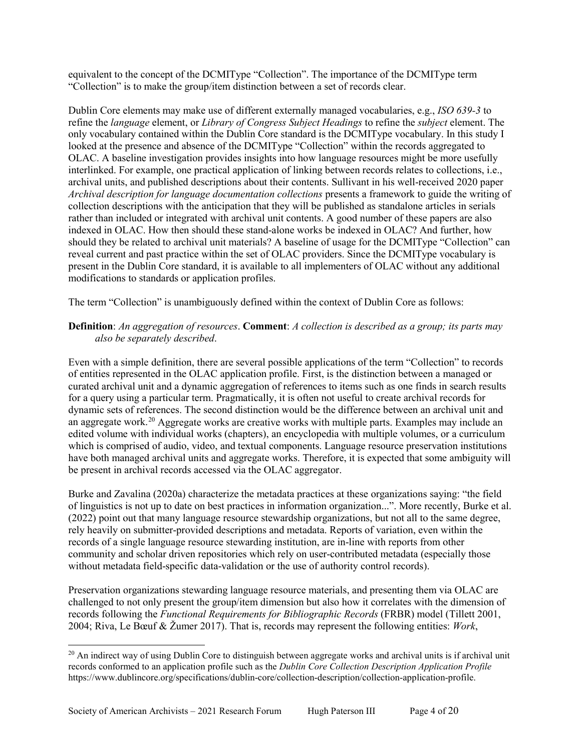equivalent to the concept of the DCMIType "Collection". The importance of the DCMIType term "Collection" is to make the group/item distinction between a set of records clear.

Dublin Core elements may make use of different externally managed vocabularies, e.g., *ISO 639-3* to refine the *language* element, or *Library of Congress Subject Headings* to refine the *subject* element. The only vocabulary contained within the Dublin Core standard is the DCMIType vocabulary. In this study I looked at the presence and absence of the DCMIType "Collection" within the records aggregated to OLAC. A baseline investigation provides insights into how language resources might be more usefully interlinked. For example, one practical application of linking between records relates to collections, i.e., archival units, and published descriptions about their contents. Sullivant in his well-received 2020 paper *Archival description for language documentation collections* presents a framework to guide the writing of collection descriptions with the anticipation that they will be published as standalone articles in serials rather than included or integrated with archival unit contents. A good number of these papers are also indexed in OLAC. How then should these stand-alone works be indexed in OLAC? And further, how should they be related to archival unit materials? A baseline of usage for the DCMIType "Collection" can reveal current and past practice within the set of OLAC providers. Since the DCMIType vocabulary is present in the Dublin Core standard, it is available to all implementers of OLAC without any additional modifications to standards or application profiles.

The term "Collection" is unambiguously defined within the context of Dublin Core as follows:

#### **Definition**: *An aggregation of resources*. **Comment**: *A collection is described as a group; its parts may also be separately described*.

Even with a simple definition, there are several possible applications of the term "Collection" to records of entities represented in the OLAC application profile. First, is the distinction between a managed or curated archival unit and a dynamic aggregation of references to items such as one finds in search results for a query using a particular term. Pragmatically, it is often not useful to create archival records for dynamic sets of references. The second distinction would be the difference between an archival unit and an aggregate work.<sup>[20](#page-3-0)</sup> Aggregate works are creative works with multiple parts. Examples may include an edited volume with individual works (chapters), an encyclopedia with multiple volumes, or a curriculum which is comprised of audio, video, and textual components. Language resource preservation institutions have both managed archival units and aggregate works. Therefore, it is expected that some ambiguity will be present in archival records accessed via the OLAC aggregator.

Burke and Zavalina (2020a) characterize the metadata practices at these organizations saying: "the field of linguistics is not up to date on best practices in information organization...". More recently, Burke et al. (2022) point out that many language resource stewardship organizations, but not all to the same degree, rely heavily on submitter-provided descriptions and metadata. Reports of variation, even within the records of a single language resource stewarding institution, are in-line with reports from other community and scholar driven repositories which rely on user-contributed metadata (especially those without metadata field-specific data-validation or the use of authority control records).

Preservation organizations stewarding language resource materials, and presenting them via OLAC are challenged to not only present the group/item dimension but also how it correlates with the dimension of records following the *Functional Requirements for Bibliographic Records* (FRBR) model (Tillett 2001, 2004; Riva, Le Bœuf & Žumer 2017). That is, records may represent the following entities: *Work*,

<span id="page-3-0"></span> $^{20}$  An indirect way of using Dublin Core to distinguish between aggregate works and archival units is if archival unit records conformed to an application profile such as the *Dublin Core Collection Description Application Profile* [https://www.dublincore.org/specifications/dublin-core/collection-description/collection-application-profile.](https://www.dublincore.org/specifications/dublin-core/collection-description/collection-application-profile)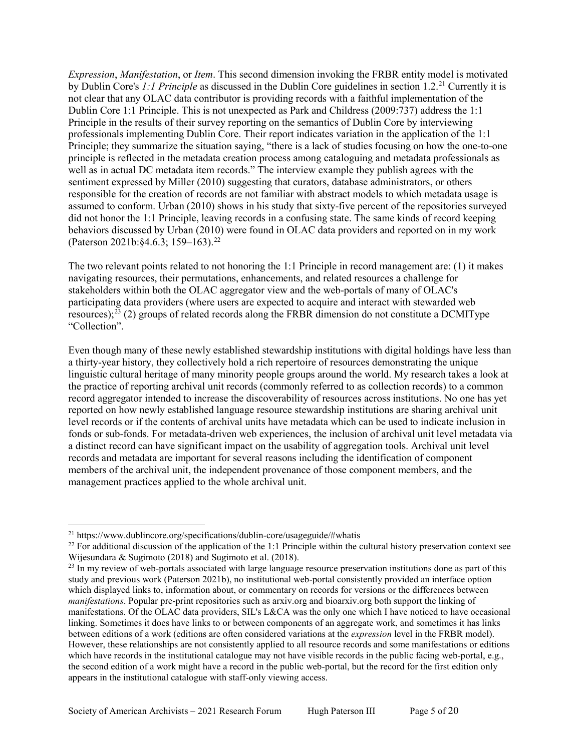*Expression*, *Manifestation*, or *Item*. This second dimension invoking the FRBR entity model is motivated by Dublin Core's *1:1 Principle* as discussed in the Dublin Core guidelines in section 1.2.[21](#page-4-0) Currently it is not clear that any OLAC data contributor is providing records with a faithful implementation of the Dublin Core 1:1 Principle. This is not unexpected as Park and Childress (2009:737) address the 1:1 Principle in the results of their survey reporting on the semantics of Dublin Core by interviewing professionals implementing Dublin Core. Their report indicates variation in the application of the 1:1 Principle; they summarize the situation saying, "there is a lack of studies focusing on how the one-to-one principle is reflected in the metadata creation process among cataloguing and metadata professionals as well as in actual DC metadata item records." The interview example they publish agrees with the sentiment expressed by Miller (2010) suggesting that curators, database administrators, or others responsible for the creation of records are not familiar with abstract models to which metadata usage is assumed to conform. Urban (2010) shows in his study that sixty-five percent of the repositories surveyed did not honor the 1:1 Principle, leaving records in a confusing state. The same kinds of record keeping behaviors discussed by Urban (2010) were found in OLAC data providers and reported on in my work (Paterson 2021b:§4.6.3; 159–163). [22](#page-4-1)

The two relevant points related to not honoring the 1:1 Principle in record management are: (1) it makes navigating resources, their permutations, enhancements, and related resources a challenge for stakeholders within both the OLAC aggregator view and the web-portals of many of OLAC's participating data providers (where users are expected to acquire and interact with stewarded web resources);<sup>[23](#page-4-2)</sup> (2) groups of related records along the FRBR dimension do not constitute a DCMIType "Collection".

Even though many of these newly established stewardship institutions with digital holdings have less than a thirty-year history, they collectively hold a rich repertoire of resources demonstrating the unique linguistic cultural heritage of many minority people groups around the world. My research takes a look at the practice of reporting archival unit records (commonly referred to as collection records) to a common record aggregator intended to increase the discoverability of resources across institutions. No one has yet reported on how newly established language resource stewardship institutions are sharing archival unit level records or if the contents of archival units have metadata which can be used to indicate inclusion in fonds or sub-fonds. For metadata-driven web experiences, the inclusion of archival unit level metadata via a distinct record can have significant impact on the usability of aggregation tools. Archival unit level records and metadata are important for several reasons including the identification of component members of the archival unit, the independent provenance of those component members, and the management practices applied to the whole archival unit.

<span id="page-4-0"></span> <sup>21</sup> <https://www.dublincore.org/specifications/dublin-core/usageguide/#whatis>

<span id="page-4-1"></span> $22$  For additional discussion of the application of the 1:1 Principle within the cultural history preservation context see Wijesundara & Sugimoto (2018) and Sugimoto et al. (2018).

<span id="page-4-2"></span> $23$  In my review of web-portals associated with large language resource preservation institutions done as part of this study and previous work (Paterson 2021b), no institutional web-portal consistently provided an interface option which displayed links to, information about, or commentary on records for versions or the differences between *manifestations*. Popular pre-print repositories such as arxiv.org and bioarxiv.org both support the linking of manifestations. Of the OLAC data providers, SIL's L&CA was the only one which I have noticed to have occasional linking. Sometimes it does have links to or between components of an aggregate work, and sometimes it has links between editions of a work (editions are often considered variations at the *expression* level in the FRBR model). However, these relationships are not consistently applied to all resource records and some manifestations or editions which have records in the institutional catalogue may not have visible records in the public facing web-portal, e.g., the second edition of a work might have a record in the public web-portal, but the record for the first edition only appears in the institutional catalogue with staff-only viewing access.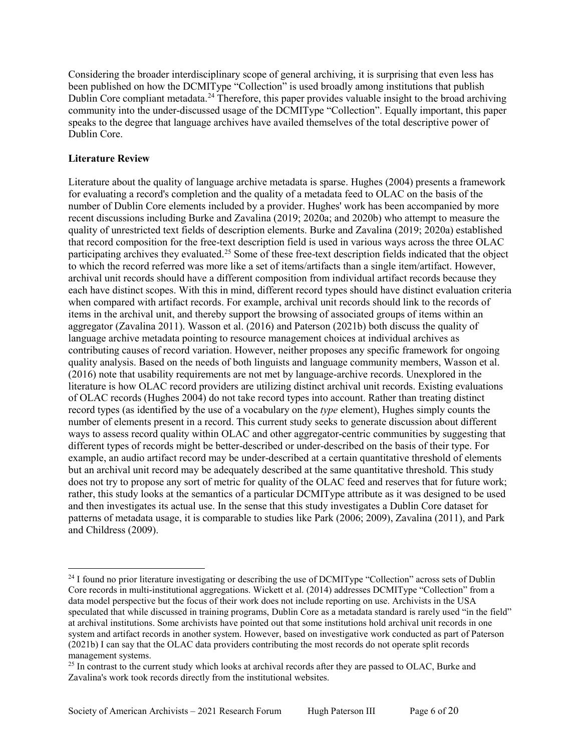Considering the broader interdisciplinary scope of general archiving, it is surprising that even less has been published on how the DCMIType "Collection" is used broadly among institutions that publish Dublin Core compliant metadata.<sup>[24](#page-5-0)</sup> Therefore, this paper provides valuable insight to the broad archiving community into the under-discussed usage of the DCMIType "Collection". Equally important, this paper speaks to the degree that language archives have availed themselves of the total descriptive power of Dublin Core.

#### **Literature Review**

Literature about the quality of language archive metadata is sparse. Hughes (2004) presents a framework for evaluating a record's completion and the quality of a metadata feed to OLAC on the basis of the number of Dublin Core elements included by a provider. Hughes' work has been accompanied by more recent discussions including Burke and Zavalina (2019; 2020a; and 2020b) who attempt to measure the quality of unrestricted text fields of description elements. Burke and Zavalina (2019; 2020a) established that record composition for the free-text description field is used in various ways across the three OLAC participating archives they evaluated.[25](#page-5-1) Some of these free-text description fields indicated that the object to which the record referred was more like a set of items/artifacts than a single item/artifact. However, archival unit records should have a different composition from individual artifact records because they each have distinct scopes. With this in mind, different record types should have distinct evaluation criteria when compared with artifact records. For example, archival unit records should link to the records of items in the archival unit, and thereby support the browsing of associated groups of items within an aggregator (Zavalina 2011). Wasson et al. (2016) and Paterson (2021b) both discuss the quality of language archive metadata pointing to resource management choices at individual archives as contributing causes of record variation. However, neither proposes any specific framework for ongoing quality analysis. Based on the needs of both linguists and language community members, Wasson et al. (2016) note that usability requirements are not met by language-archive records. Unexplored in the literature is how OLAC record providers are utilizing distinct archival unit records. Existing evaluations of OLAC records (Hughes 2004) do not take record types into account. Rather than treating distinct record types (as identified by the use of a vocabulary on the *type* element), Hughes simply counts the number of elements present in a record. This current study seeks to generate discussion about different ways to assess record quality within OLAC and other aggregator-centric communities by suggesting that different types of records might be better-described or under-described on the basis of their type. For example, an audio artifact record may be under-described at a certain quantitative threshold of elements but an archival unit record may be adequately described at the same quantitative threshold. This study does not try to propose any sort of metric for quality of the OLAC feed and reserves that for future work; rather, this study looks at the semantics of a particular DCMIType attribute as it was designed to be used and then investigates its actual use. In the sense that this study investigates a Dublin Core dataset for patterns of metadata usage, it is comparable to studies like Park (2006; 2009), Zavalina (2011), and Park and Childress (2009).

<span id="page-5-0"></span><sup>&</sup>lt;sup>24</sup> I found no prior literature investigating or describing the use of DCMIType "Collection" across sets of Dublin Core records in multi-institutional aggregations. Wickett et al. (2014) addresses DCMIType "Collection" from a data model perspective but the focus of their work does not include reporting on use. Archivists in the USA speculated that while discussed in training programs, Dublin Core as a metadata standard is rarely used "in the field" at archival institutions. Some archivists have pointed out that some institutions hold archival unit records in one system and artifact records in another system. However, based on investigative work conducted as part of Paterson (2021b) I can say that the OLAC data providers contributing the most records do not operate split records management systems.

<span id="page-5-1"></span><sup>&</sup>lt;sup>25</sup> In contrast to the current study which looks at archival records after they are passed to OLAC, Burke and Zavalina's work took records directly from the institutional websites.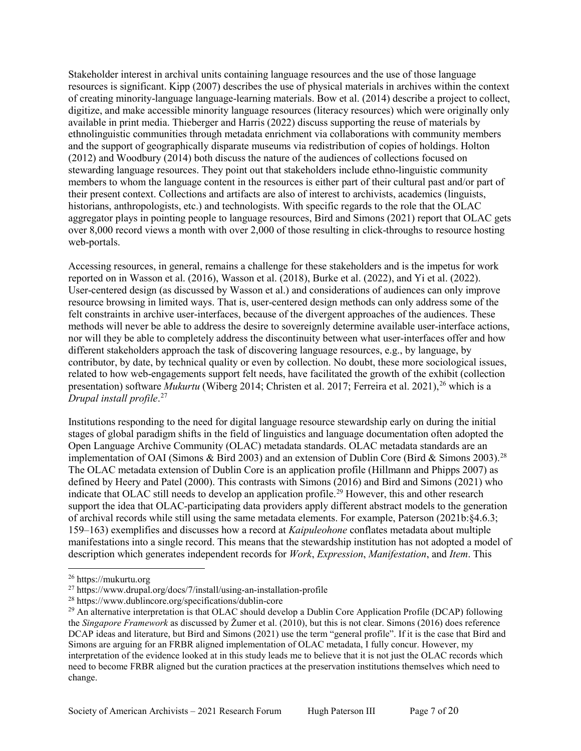Stakeholder interest in archival units containing language resources and the use of those language resources is significant. Kipp (2007) describes the use of physical materials in archives within the context of creating minority-language language-learning materials. Bow et al. (2014) describe a project to collect, digitize, and make accessible minority language resources (literacy resources) which were originally only available in print media. Thieberger and Harris (2022) discuss supporting the reuse of materials by ethnolinguistic communities through metadata enrichment via collaborations with community members and the support of geographically disparate museums via redistribution of copies of holdings. Holton (2012) and Woodbury (2014) both discuss the nature of the audiences of collections focused on stewarding language resources. They point out that stakeholders include ethno-linguistic community members to whom the language content in the resources is either part of their cultural past and/or part of their present context. Collections and artifacts are also of interest to archivists, academics (linguists, historians, anthropologists, etc.) and technologists. With specific regards to the role that the OLAC aggregator plays in pointing people to language resources, Bird and Simons (2021) report that OLAC gets over 8,000 record views a month with over 2,000 of those resulting in click-throughs to resource hosting web-portals.

Accessing resources, in general, remains a challenge for these stakeholders and is the impetus for work reported on in Wasson et al. (2016), Wasson et al. (2018), Burke et al. (2022), and Yi et al. (2022). User-centered design (as discussed by Wasson et al.) and considerations of audiences can only improve resource browsing in limited ways. That is, user-centered design methods can only address some of the felt constraints in archive user-interfaces, because of the divergent approaches of the audiences. These methods will never be able to address the desire to sovereignly determine available user-interface actions, nor will they be able to completely address the discontinuity between what user-interfaces offer and how different stakeholders approach the task of discovering language resources, e.g., by language, by contributor, by date, by technical quality or even by collection. No doubt, these more sociological issues, related to how web-engagements support felt needs, have facilitated the growth of the exhibit (collection presentation) software *Mukurtu* (Wiberg 2014; Christen et al. 2017; Ferreira et al. 2021), [26](#page-6-0) which is a *Drupal install profile*. [27](#page-6-1)

Institutions responding to the need for digital language resource stewardship early on during the initial stages of global paradigm shifts in the field of linguistics and language documentation often adopted the Open Language Archive Community (OLAC) metadata standards. OLAC metadata standards are an implementation of OAI (Simons & Bird 2003) and an extension of Dublin Core (Bird & Simons 2003).<sup>[28](#page-6-2)</sup> The OLAC metadata extension of Dublin Core is an application profile (Hillmann and Phipps 2007) as defined by Heery and Patel (2000). This contrasts with Simons (2016) and Bird and Simons (2021) who indicate that OLAC still needs to develop an application profile.<sup>[29](#page-6-3)</sup> However, this and other research support the idea that OLAC-participating data providers apply different abstract models to the generation of archival records while still using the same metadata elements. For example, Paterson (2021b:§4.6.3; 159–163) exemplifies and discusses how a record at *Kaipuleohone* conflates metadata about multiple manifestations into a single record. This means that the stewardship institution has not adopted a model of description which generates independent records for *Work*, *Expression*, *Manifestation*, and *Item*. This

<span id="page-6-0"></span> <sup>26</sup> [https://mukurtu.org](https://mukurtu.org/)

<span id="page-6-1"></span><sup>27</sup> <https://www.drupal.org/docs/7/install/using-an-installation-profile>

<span id="page-6-2"></span><sup>28</sup> <https://www.dublincore.org/specifications/dublin-core>

<span id="page-6-3"></span> $^{29}$  An alternative interpretation is that OLAC should develop a Dublin Core Application Profile (DCAP) following the *Singapore Framework* as discussed by Žumer et al. (2010), but this is not clear. Simons (2016) does reference DCAP ideas and literature, but Bird and Simons (2021) use the term "general profile". If it is the case that Bird and Simons are arguing for an FRBR aligned implementation of OLAC metadata, I fully concur. However, my interpretation of the evidence looked at in this study leads me to believe that it is not just the OLAC records which need to become FRBR aligned but the curation practices at the preservation institutions themselves which need to change.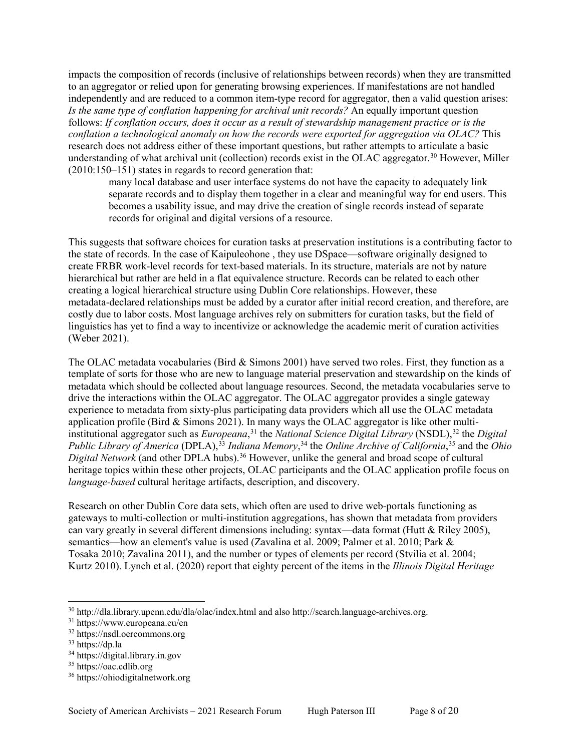impacts the composition of records (inclusive of relationships between records) when they are transmitted to an aggregator or relied upon for generating browsing experiences. If manifestations are not handled independently and are reduced to a common item-type record for aggregator, then a valid question arises: *Is the same type of conflation happening for archival unit records?* An equally important question follows: *If conflation occurs, does it occur as a result of stewardship management practice or is the conflation a technological anomaly on how the records were exported for aggregation via OLAC?* This research does not address either of these important questions, but rather attempts to articulate a basic understanding of what archival unit (collection) records exist in the OLAC aggregator.<sup>[30](#page-7-0)</sup> However, Miller (2010:150–151) states in regards to record generation that:

many local database and user interface systems do not have the capacity to adequately link separate records and to display them together in a clear and meaningful way for end users. This becomes a usability issue, and may drive the creation of single records instead of separate records for original and digital versions of a resource.

This suggests that software choices for curation tasks at preservation institutions is a contributing factor to the state of records. In the case of Kaipuleohone , they use DSpace—software originally designed to create FRBR work-level records for text-based materials. In its structure, materials are not by nature hierarchical but rather are held in a flat equivalence structure. Records can be related to each other creating a logical hierarchical structure using Dublin Core relationships. However, these metadata-declared relationships must be added by a curator after initial record creation, and therefore, are costly due to labor costs. Most language archives rely on submitters for curation tasks, but the field of linguistics has yet to find a way to incentivize or acknowledge the academic merit of curation activities (Weber 2021).

The OLAC metadata vocabularies (Bird & Simons 2001) have served two roles. First, they function as a template of sorts for those who are new to language material preservation and stewardship on the kinds of metadata which should be collected about language resources. Second, the metadata vocabularies serve to drive the interactions within the OLAC aggregator. The OLAC aggregator provides a single gateway experience to metadata from sixty-plus participating data providers which all use the OLAC metadata application profile (Bird & Simons 2021). In many ways the OLAC aggregator is like other multiinstitutional aggregator such as *Europeana*, [31](#page-7-1) the *National Science Digital Library* (NSDL),[32](#page-7-2) the *Digital Public Library of America* (DPLA),<sup>[33](#page-7-3)</sup> *Indiana Memory*,<sup>[34](#page-7-4)</sup> the *Online Archive of California*,<sup>[35](#page-7-5)</sup> and the *Ohio Digital Network* (and other DPLA hubs).<sup>[36](#page-7-6)</sup> However, unlike the general and broad scope of cultural heritage topics within these other projects, OLAC participants and the OLAC application profile focus on *language-based* cultural heritage artifacts, description, and discovery.

Research on other Dublin Core data sets, which often are used to drive web-portals functioning as gateways to multi-collection or multi-institution aggregations, has shown that metadata from providers can vary greatly in several different dimensions including: syntax—data format (Hutt & Riley 2005), semantics—how an element's value is used (Zavalina et al. 2009; Palmer et al. 2010; Park & Tosaka 2010; Zavalina 2011), and the number or types of elements per record (Stvilia et al. 2004; Kurtz 2010). Lynch et al. (2020) report that eighty percent of the items in the *Illinois Digital Heritage* 

<span id="page-7-0"></span> <sup>30</sup> <http://dla.library.upenn.edu/dla/olac/index.html> and also [http://search.language-archives.org.](http://search.language-archives.org/)

<span id="page-7-1"></span><sup>31</sup> <https://www.europeana.eu/en>

<span id="page-7-2"></span><sup>32</sup> [https://nsdl.oercommons.org](https://nsdl.oercommons.org/)

<span id="page-7-3"></span><sup>33</sup> [https://dp.la](https://dp.la/)

<span id="page-7-4"></span><sup>34</sup> [https://digital.library.in.gov](https://digital.library.in.gov/)

<span id="page-7-5"></span><sup>&</sup>lt;sup>35</sup> [https://oac.cdlib.org](https://oac.cdlib.org/)

<span id="page-7-6"></span><sup>36</sup> [https://ohiodigitalnetwork.org](https://ohiodigitalnetwork.org/)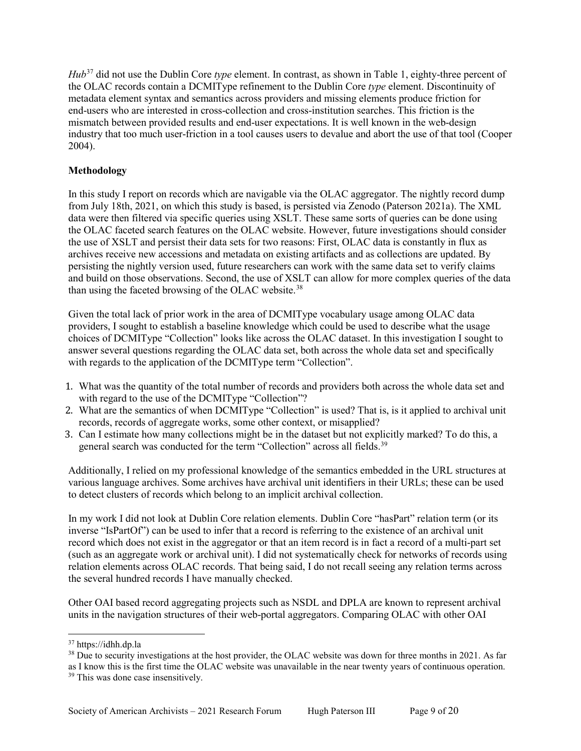*Hub*[37](#page-8-0) did not use the Dublin Core *type* element. In contrast, as shown in Table 1, eighty-three percent of the OLAC records contain a DCMIType refinement to the Dublin Core *type* element. Discontinuity of metadata element syntax and semantics across providers and missing elements produce friction for end-users who are interested in cross-collection and cross-institution searches. This friction is the mismatch between provided results and end-user expectations. It is well known in the web-design industry that too much user-friction in a tool causes users to devalue and abort the use of that tool (Cooper 2004).

## **Methodology**

In this study I report on records which are navigable via the OLAC aggregator. The nightly record dump from July 18th, 2021, on which this study is based, is persisted via Zenodo (Paterson 2021a). The XML data were then filtered via specific queries using XSLT. These same sorts of queries can be done using the OLAC faceted search features on the OLAC website. However, future investigations should consider the use of XSLT and persist their data sets for two reasons: First, OLAC data is constantly in flux as archives receive new accessions and metadata on existing artifacts and as collections are updated. By persisting the nightly version used, future researchers can work with the same data set to verify claims and build on those observations. Second, the use of XSLT can allow for more complex queries of the data than using the faceted browsing of the OLAC website. $38$ 

Given the total lack of prior work in the area of DCMIType vocabulary usage among OLAC data providers, I sought to establish a baseline knowledge which could be used to describe what the usage choices of DCMIType "Collection" looks like across the OLAC dataset. In this investigation I sought to answer several questions regarding the OLAC data set, both across the whole data set and specifically with regards to the application of the DCMIType term "Collection".

- 1. What was the quantity of the total number of records and providers both across the whole data set and with regard to the use of the DCMIType "Collection"?
- 2. What are the semantics of when DCMIType "Collection" is used? That is, is it applied to archival unit records, records of aggregate works, some other context, or misapplied?
- 3. Can I estimate how many collections might be in the dataset but not explicitly marked? To do this, a general search was conducted for the term "Collection" across all fields.<sup>[39](#page-8-2)</sup>

Additionally, I relied on my professional knowledge of the semantics embedded in the URL structures at various language archives. Some archives have archival unit identifiers in their URLs; these can be used to detect clusters of records which belong to an implicit archival collection.

In my work I did not look at Dublin Core relation elements. Dublin Core "hasPart" relation term (or its inverse "IsPartOf") can be used to infer that a record is referring to the existence of an archival unit record which does not exist in the aggregator or that an item record is in fact a record of a multi-part set (such as an aggregate work or archival unit). I did not systematically check for networks of records using relation elements across OLAC records. That being said, I do not recall seeing any relation terms across the several hundred records I have manually checked.

Other OAI based record aggregating projects such as NSDL and DPLA are known to represent archival units in the navigation structures of their web-portal aggregators. Comparing OLAC with other OAI

<span id="page-8-0"></span> <sup>37</sup> https://idhh.dp.la

<span id="page-8-1"></span><sup>&</sup>lt;sup>38</sup> Due to security investigations at the host provider, the OLAC website was down for three months in 2021. As far as I know this is the first time the OLAC website was unavailable in the near twenty years of continuous operation.

<span id="page-8-2"></span><sup>&</sup>lt;sup>39</sup> This was done case insensitively.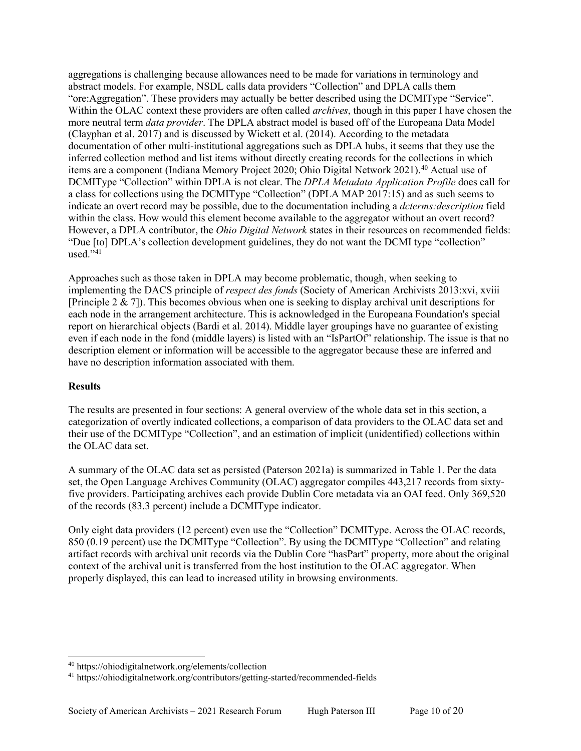aggregations is challenging because allowances need to be made for variations in terminology and abstract models. For example, NSDL calls data providers "Collection" and DPLA calls them "ore:Aggregation". These providers may actually be better described using the DCMIType "Service". Within the OLAC context these providers are often called *archives*, though in this paper I have chosen the more neutral term *data provider*. The DPLA abstract model is based off of the Europeana Data Model (Clayphan et al. 2017) and is discussed by Wickett et al. (2014). According to the metadata documentation of other multi-institutional aggregations such as DPLA hubs, it seems that they use the inferred collection method and list items without directly creating records for the collections in which items are a component (Indiana Memory Project 2020; Ohio Digital Network 2021). [40](#page-9-0) Actual use of DCMIType "Collection" within DPLA is not clear. The *DPLA Metadata Application Profile* does call for a class for collections using the DCMIType "Collection" (DPLA MAP 2017:15) and as such seems to indicate an overt record may be possible, due to the documentation including a *dcterms:description* field within the class. How would this element become available to the aggregator without an overt record? However, a DPLA contributor, the *Ohio Digital Network* states in their resources on recommended fields: "Due [to] DPLA's collection development guidelines, they do not want the DCMI type "collection" used." $41$ 

Approaches such as those taken in DPLA may become problematic, though, when seeking to implementing the DACS principle of *respect des fonds* (Society of American Archivists 2013:xvi, xviii [Principle 2 & 7]). This becomes obvious when one is seeking to display archival unit descriptions for each node in the arrangement architecture. This is acknowledged in the Europeana Foundation's special report on hierarchical objects (Bardi et al. 2014). Middle layer groupings have no guarantee of existing even if each node in the fond (middle layers) is listed with an "IsPartOf" relationship. The issue is that no description element or information will be accessible to the aggregator because these are inferred and have no description information associated with them.

### **Results**

The results are presented in four sections: A general overview of the whole data set in this section, a categorization of overtly indicated collections, a comparison of data providers to the OLAC data set and their use of the DCMIType "Collection", and an estimation of implicit (unidentified) collections within the OLAC data set.

A summary of the OLAC data set as persisted (Paterson 2021a) is summarized in Table 1. Per the data set, the Open Language Archives Community (OLAC) aggregator compiles 443,217 records from sixtyfive providers. Participating archives each provide Dublin Core metadata via an OAI feed. Only 369,520 of the records (83.3 percent) include a DCMIType indicator.

Only eight data providers (12 percent) even use the "Collection" DCMIType. Across the OLAC records, 850 (0.19 percent) use the DCMIType "Collection". By using the DCMIType "Collection" and relating artifact records with archival unit records via the Dublin Core "hasPart" property, more about the original context of the archival unit is transferred from the host institution to the OLAC aggregator. When properly displayed, this can lead to increased utility in browsing environments.

<span id="page-9-0"></span> <sup>40</sup> <https://ohiodigitalnetwork.org/elements/collection>

<span id="page-9-1"></span><sup>41</sup> <https://ohiodigitalnetwork.org/contributors/getting-started/recommended-fields>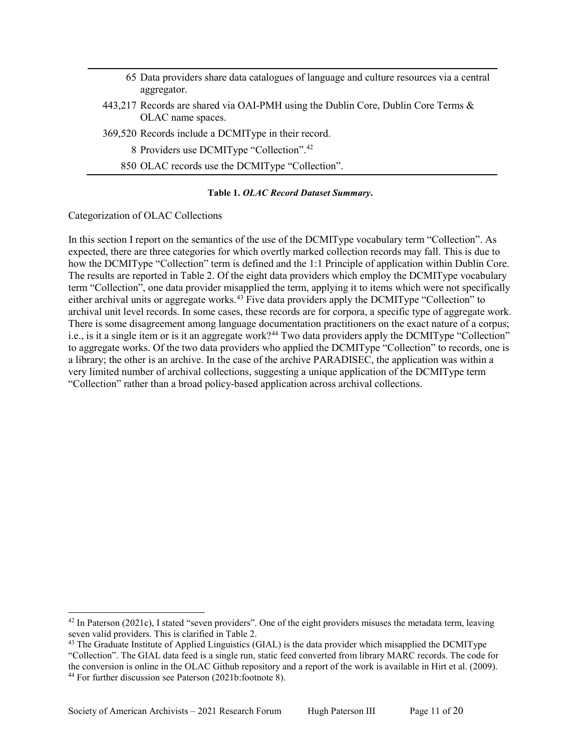| 65 Data providers share data catalogues of language and culture resources via a central<br>aggregator.    |
|-----------------------------------------------------------------------------------------------------------|
| 443,217 Records are shared via OAI-PMH using the Dublin Core, Dublin Core Terms $\&$<br>OLAC name spaces. |
| 369,520 Records include a DCMIType in their record.                                                       |
| 8 Providers use DCMIType "Collection". <sup>42</sup>                                                      |
| 850 OLAC records use the DCMIType "Collection".                                                           |

#### **Table 1.** *OLAC Record Dataset Summary***.**

Categorization of OLAC Collections

In this section I report on the semantics of the use of the DCMIType vocabulary term "Collection". As expected, there are three categories for which overtly marked collection records may fall. This is due to how the DCMIType "Collection" term is defined and the 1:1 Principle of application within Dublin Core. The results are reported in Table 2. Of the eight data providers which employ the DCMIType vocabulary term "Collection", one data provider misapplied the term, applying it to items which were not specifically either archival units or aggregate works.<sup>[43](#page-10-1)</sup> Five data providers apply the DCMIType "Collection" to archival unit level records. In some cases, these records are for corpora, a specific type of aggregate work. There is some disagreement among language documentation practitioners on the exact nature of a corpus; i.e., is it a single item or is it an aggregate work?<sup>[44](#page-10-2)</sup> Two data providers apply the DCMIType "Collection" to aggregate works. Of the two data providers who applied the DCMIType "Collection" to records, one is a library; the other is an archive. In the case of the archive PARADISEC, the application was within a very limited number of archival collections, suggesting a unique application of the DCMIType term "Collection" rather than a broad policy-based application across archival collections.

<span id="page-10-0"></span> $42$  In Paterson (2021c), I stated "seven providers". One of the eight providers misuses the metadata term, leaving seven valid providers. This is clarified in Table 2.

<span id="page-10-2"></span><span id="page-10-1"></span><sup>&</sup>lt;sup>43</sup> The Graduate Institute of Applied Linguistics (GIAL) is the data provider which misapplied the DCMIType "Collection". The GIAL data feed is a single run, static feed converted from library MARC records. The code for the conversion is online in the OLAC Github repository and a report of the work is available in Hirt et al. (2009). <sup>44</sup> For further discussion see Paterson (2021b:footnote 8).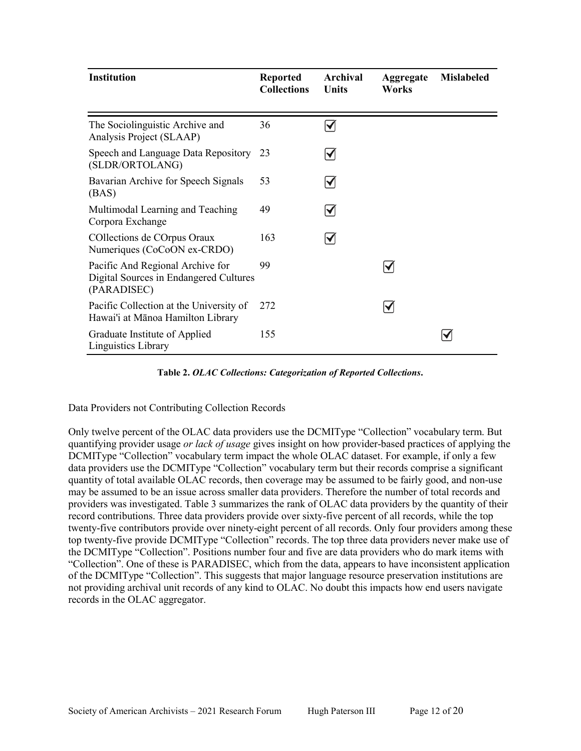| <b>Institution</b>                                                                        | <b>Reported</b><br><b>Collections</b> | Archival<br>Units    | <b>Aggregate</b><br>Works | <b>Mislabeled</b> |
|-------------------------------------------------------------------------------------------|---------------------------------------|----------------------|---------------------------|-------------------|
|                                                                                           |                                       |                      |                           |                   |
| The Sociolinguistic Archive and<br>Analysis Project (SLAAP)                               | 36                                    | $\blacktriangledown$ |                           |                   |
| Speech and Language Data Repository<br>(SLDR/ORTOLANG)                                    | 23                                    | $\blacktriangledown$ |                           |                   |
| Bavarian Archive for Speech Signals<br>(BAS)                                              | 53                                    | $\blacktriangledown$ |                           |                   |
| Multimodal Learning and Teaching<br>Corpora Exchange                                      | 49                                    | $\blacktriangledown$ |                           |                   |
| COllections de COrpus Oraux<br>Numeriques (CoCoON ex-CRDO)                                | 163                                   | $\blacktriangledown$ |                           |                   |
| Pacific And Regional Archive for<br>Digital Sources in Endangered Cultures<br>(PARADISEC) | 99                                    |                      |                           |                   |
| Pacific Collection at the University of<br>Hawai'i at Mānoa Hamilton Library              | 272                                   |                      | $\blacktriangledown$      |                   |
| Graduate Institute of Applied<br>Linguistics Library                                      | 155                                   |                      |                           |                   |

**Table 2.** *OLAC Collections: Categorization of Reported Collections***.**

Data Providers not Contributing Collection Records

Only twelve percent of the OLAC data providers use the DCMIType "Collection" vocabulary term. But quantifying provider usage *or lack of usage* gives insight on how provider-based practices of applying the DCMIType "Collection" vocabulary term impact the whole OLAC dataset. For example, if only a few data providers use the DCMIType "Collection" vocabulary term but their records comprise a significant quantity of total available OLAC records, then coverage may be assumed to be fairly good, and non-use may be assumed to be an issue across smaller data providers. Therefore the number of total records and providers was investigated. Table 3 summarizes the rank of OLAC data providers by the quantity of their record contributions. Three data providers provide over sixty-five percent of all records, while the top twenty-five contributors provide over ninety-eight percent of all records. Only four providers among these top twenty-five provide DCMIType "Collection" records. The top three data providers never make use of the DCMIType "Collection". Positions number four and five are data providers who do mark items with "Collection". One of these is PARADISEC, which from the data, appears to have inconsistent application of the DCMIType "Collection". This suggests that major language resource preservation institutions are not providing archival unit records of any kind to OLAC. No doubt this impacts how end users navigate records in the OLAC aggregator.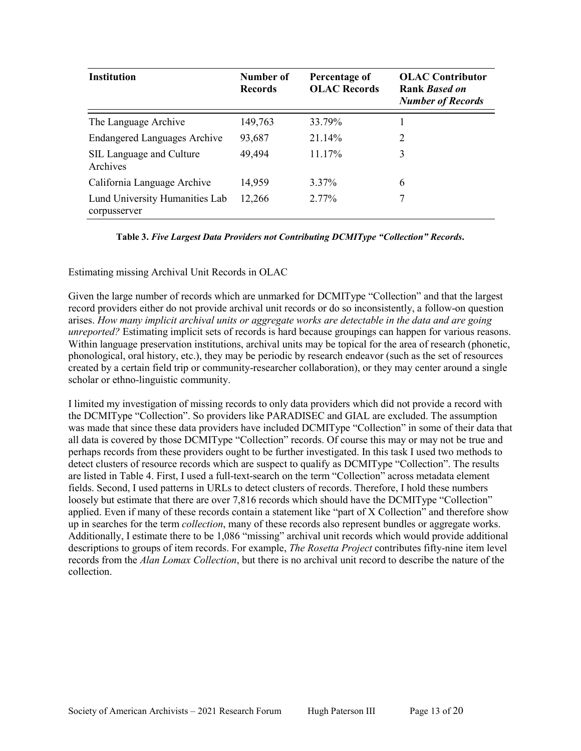| <b>Institution</b>                             | Number of<br><b>Records</b> | Percentage of<br><b>OLAC Records</b> | <b>OLAC</b> Contributor<br>Rank <i>Based on</i><br><b>Number of Records</b> |
|------------------------------------------------|-----------------------------|--------------------------------------|-----------------------------------------------------------------------------|
| The Language Archive                           | 149,763                     | 33.79%                               |                                                                             |
| <b>Endangered Languages Archive</b>            | 93,687                      | 21.14%                               | 2                                                                           |
| SIL Language and Culture<br>Archives           | 49,494                      | 11.17%                               | 3                                                                           |
| California Language Archive                    | 14,959                      | 3.37%                                | 6                                                                           |
| Lund University Humanities Lab<br>corpusserver | 12,266                      | 2.77%                                | 7                                                                           |

**Table 3.** *Five Largest Data Providers not Contributing DCMIType "Collection" Records***.**

Estimating missing Archival Unit Records in OLAC

Given the large number of records which are unmarked for DCMIType "Collection" and that the largest record providers either do not provide archival unit records or do so inconsistently, a follow-on question arises. *How many implicit archival units or aggregate works are detectable in the data and are going unreported?* Estimating implicit sets of records is hard because groupings can happen for various reasons. Within language preservation institutions, archival units may be topical for the area of research (phonetic, phonological, oral history, etc.), they may be periodic by research endeavor (such as the set of resources created by a certain field trip or community-researcher collaboration), or they may center around a single scholar or ethno-linguistic community.

I limited my investigation of missing records to only data providers which did not provide a record with the DCMIType "Collection". So providers like PARADISEC and GIAL are excluded. The assumption was made that since these data providers have included DCMIType "Collection" in some of their data that all data is covered by those DCMIType "Collection" records. Of course this may or may not be true and perhaps records from these providers ought to be further investigated. In this task I used two methods to detect clusters of resource records which are suspect to qualify as DCMIType "Collection". The results are listed in Table 4. First, I used a full-text-search on the term "Collection" across metadata element fields. Second, I used patterns in URLs to detect clusters of records. Therefore, I hold these numbers loosely but estimate that there are over 7,816 records which should have the DCMIType "Collection" applied. Even if many of these records contain a statement like "part of X Collection" and therefore show up in searches for the term *collection*, many of these records also represent bundles or aggregate works. Additionally, I estimate there to be 1,086 "missing" archival unit records which would provide additional descriptions to groups of item records. For example, *The Rosetta Project* contributes fifty-nine item level records from the *Alan Lomax Collection*, but there is no archival unit record to describe the nature of the collection.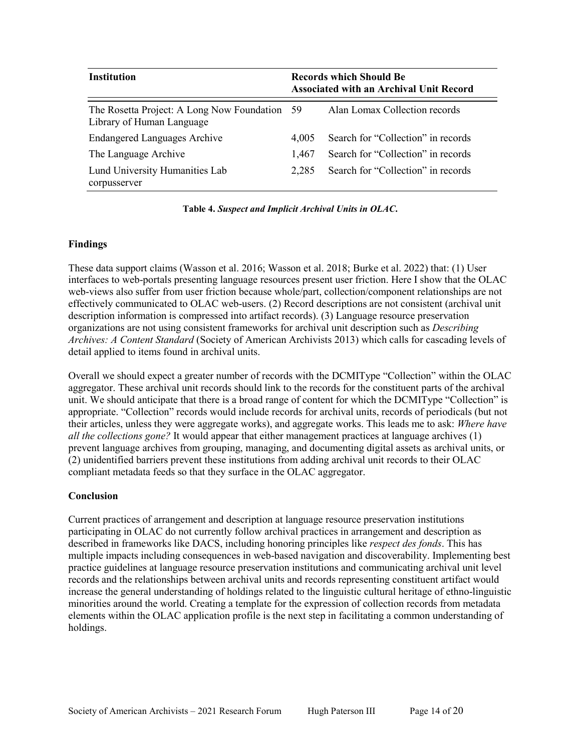| <b>Institution</b>                                                         |       | <b>Records which Should Be</b><br><b>Associated with an Archival Unit Record</b> |  |  |
|----------------------------------------------------------------------------|-------|----------------------------------------------------------------------------------|--|--|
| The Rosetta Project: A Long Now Foundation 59<br>Library of Human Language |       | Alan Lomax Collection records                                                    |  |  |
| <b>Endangered Languages Archive</b>                                        | 4.005 | Search for "Collection" in records                                               |  |  |
| The Language Archive                                                       | 1.467 | Search for "Collection" in records                                               |  |  |
| Lund University Humanities Lab<br>corpusserver                             | 2.285 | Search for "Collection" in records                                               |  |  |

**Table 4.** *Suspect and Implicit Archival Units in OLAC***.**

#### **Findings**

These data support claims (Wasson et al. 2016; Wasson et al. 2018; Burke et al. 2022) that: (1) User interfaces to web-portals presenting language resources present user friction. Here I show that the OLAC web-views also suffer from user friction because whole/part, collection/component relationships are not effectively communicated to OLAC web-users. (2) Record descriptions are not consistent (archival unit description information is compressed into artifact records). (3) Language resource preservation organizations are not using consistent frameworks for archival unit description such as *Describing Archives: A Content Standard* (Society of American Archivists 2013) which calls for cascading levels of detail applied to items found in archival units.

Overall we should expect a greater number of records with the DCMIType "Collection" within the OLAC aggregator. These archival unit records should link to the records for the constituent parts of the archival unit. We should anticipate that there is a broad range of content for which the DCMIType "Collection" is appropriate. "Collection" records would include records for archival units, records of periodicals (but not their articles, unless they were aggregate works), and aggregate works. This leads me to ask: *Where have all the collections gone?* It would appear that either management practices at language archives (1) prevent language archives from grouping, managing, and documenting digital assets as archival units, or (2) unidentified barriers prevent these institutions from adding archival unit records to their OLAC compliant metadata feeds so that they surface in the OLAC aggregator.

### **Conclusion**

Current practices of arrangement and description at language resource preservation institutions participating in OLAC do not currently follow archival practices in arrangement and description as described in frameworks like DACS, including honoring principles like *respect des fonds*. This has multiple impacts including consequences in web-based navigation and discoverability. Implementing best practice guidelines at language resource preservation institutions and communicating archival unit level records and the relationships between archival units and records representing constituent artifact would increase the general understanding of holdings related to the linguistic cultural heritage of ethno-linguistic minorities around the world. Creating a template for the expression of collection records from metadata elements within the OLAC application profile is the next step in facilitating a common understanding of holdings.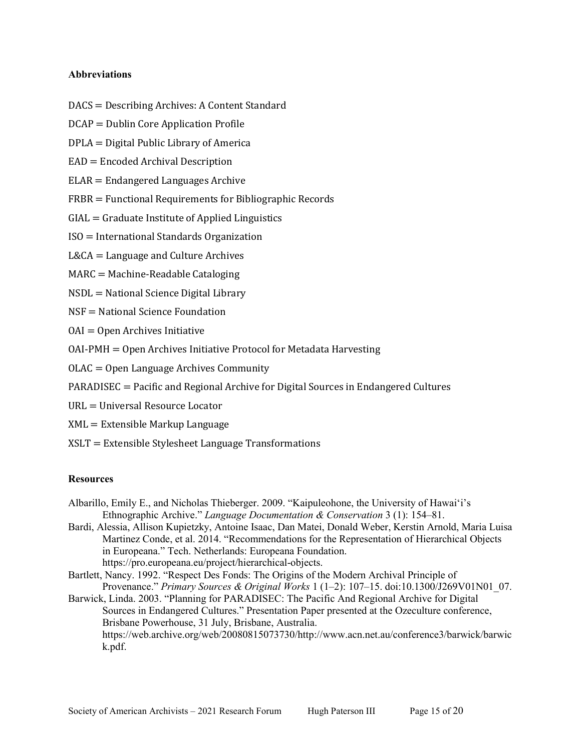#### **Abbreviations**

- DACS = Describing Archives: A Content Standard
- DCAP = Dublin Core Application Profile
- DPLA = Digital Public Library of America
- EAD = Encoded Archival Description
- ELAR = Endangered Languages Archive
- FRBR = Functional Requirements for Bibliographic Records
- $GIAL = Graduate Institute of Applied Linguistics$
- ISO = International Standards Organization
- L&CA = Language and Culture Archives
- MARC = Machine-Readable Cataloging
- NSDL = National Science Digital Library
- NSF = National Science Foundation
- $OAI = Open Archives Initiative$
- OAI-PMH = Open Archives Initiative Protocol for Metadata Harvesting
- OLAC = Open Language Archives Community
- PARADISEC = Pacific and Regional Archive for Digital Sources in Endangered Cultures
- URL = Universal Resource Locator
- XML = Extensible Markup Language
- XSLT = Extensible Stylesheet Language Transformations

#### **Resources**

- Albarillo, Emily E., and Nicholas Thieberger. 2009. "Kaipuleohone, the University of Hawaiʻi's Ethnographic Archive." *Language Documentation & Conservation* 3 (1): 154–81.
- Bardi, Alessia, Allison Kupietzky, Antoine Isaac, Dan Matei, Donald Weber, Kerstin Arnold, Maria Luisa Martinez Conde, et al. 2014. "Recommendations for the Representation of Hierarchical Objects in Europeana." Tech. Netherlands: Europeana Foundation. [https://pro.europeana.eu/project/hierarchical-objects.](https://pro.europeana.eu/project/hierarchical-objects)
- Bartlett, Nancy. 1992. "Respect Des Fonds: The Origins of the Modern Archival Principle of Provenance." *Primary Sources & Original Works* 1 (1–2): 107–15. doi[:10.1300/J269V01N01\\_07.](https://doi.org/10.1300/J269V01N01_07)
- Barwick, Linda. 2003. "Planning for PARADISEC: The Pacific And Regional Archive for Digital Sources in Endangered Cultures." Presentation Paper presented at the Ozeculture conference, Brisbane Powerhouse, 31 July, Brisbane, Australia. [https://web.archive.org/web/20080815073730/http://www.acn.net.au/conference3/barwick/barwic](https://web.archive.org/web/20080815073730/http:/www.acn.net.au/conference3/barwick/barwick.pdf) [k.pdf.](https://web.archive.org/web/20080815073730/http:/www.acn.net.au/conference3/barwick/barwick.pdf)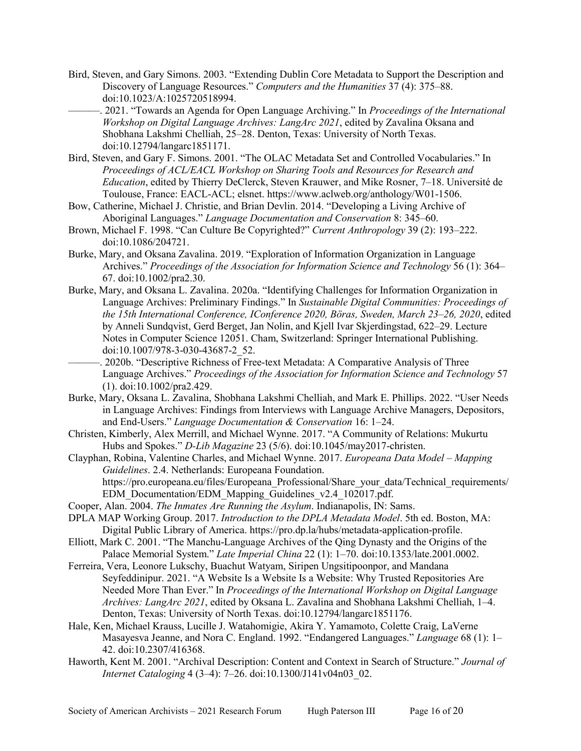- Bird, Steven, and Gary Simons. 2003. "Extending Dublin Core Metadata to Support the Description and Discovery of Language Resources." *Computers and the Humanities* 37 (4): 375–88. doi[:10.1023/A:1025720518994.](https://doi.org/10.1023/A:1025720518994)
- ———. 2021. "Towards an Agenda for Open Language Archiving." In *Proceedings of the International Workshop on Digital Language Archives: LangArc 2021*, edited by Zavalina Oksana and Shobhana Lakshmi Chelliah, 25–28. Denton, Texas: University of North Texas. doi[:10.12794/langarc1851171.](https://doi.org/10.12794/langarc1851171)
- Bird, Steven, and Gary F. Simons. 2001. "The OLAC Metadata Set and Controlled Vocabularies." In *Proceedings of ACL/EACL Workshop on Sharing Tools and Resources for Research and Education*, edited by Thierry DeClerck, Steven Krauwer, and Mike Rosner, 7–18. Université de Toulouse, France: EACL-ACL; elsnet. [https://www.aclweb.org/anthology/W01-1506.](https://www.aclweb.org/anthology/W01-1506)
- Bow, Catherine, Michael J. Christie, and Brian Devlin. 2014. "Developing a Living Archive of Aboriginal Languages." *Language Documentation and Conservation* 8: 345–60.
- Brown, Michael F. 1998. "Can Culture Be Copyrighted?" *Current Anthropology* 39 (2): 193–222. doi[:10.1086/204721.](https://doi.org/10.1086/204721)
- Burke, Mary, and Oksana Zavalina. 2019. "Exploration of Information Organization in Language Archives." *Proceedings of the Association for Information Science and Technology* 56 (1): 364– 67. doi[:10.1002/pra2.30.](https://doi.org/10.1002/pra2.30)
- Burke, Mary, and Oksana L. Zavalina. 2020a. "Identifying Challenges for Information Organization in Language Archives: Preliminary Findings." In *Sustainable Digital Communities: Proceedings of the 15th International Conference, IConference 2020, Böras, Sweden, March 23–26, 2020*, edited by Anneli Sundqvist, Gerd Berget, Jan Nolin, and Kjell Ivar Skjerdingstad, 622–29. Lecture Notes in Computer Science 12051. Cham, Switzerland: Springer International Publishing. doi[:10.1007/978-3-030-43687-2\\_52.](https://doi.org/10.1007/978-3-030-43687-2_52)
- . 2020b. "Descriptive Richness of Free-text Metadata: A Comparative Analysis of Three Language Archives." *Proceedings of the Association for Information Science and Technology* 57 (1). doi[:10.1002/pra2.429.](https://doi.org/10.1002/pra2.429)
- Burke, Mary, Oksana L. Zavalina, Shobhana Lakshmi Chelliah, and Mark E. Phillips. 2022. "User Needs in Language Archives: Findings from Interviews with Language Archive Managers, Depositors, and End-Users." *Language Documentation & Conservation* 16: 1–24.
- Christen, Kimberly, Alex Merrill, and Michael Wynne. 2017. "A Community of Relations: Mukurtu Hubs and Spokes." *D-Lib Magazine* 23 (5/6). doi[:10.1045/may2017-christen.](https://doi.org/10.1045/may2017-christen)
- Clayphan, Robina, Valentine Charles, and Michael Wynne. 2017. *Europeana Data Model – Mapping Guidelines*. 2.4. Netherlands: Europeana Foundation. https://pro.europeana.eu/files/Europeana Professional/Share your data/Technical requirements/ [EDM\\_Documentation/EDM\\_Mapping\\_Guidelines\\_v2.4\\_102017.pdf.](https://pro.europeana.eu/files/Europeana_Professional/Share_your_data/Technical_requirements/EDM_Documentation/EDM_Mapping_Guidelines_v2.4_102017.pdf)
- Cooper, Alan. 2004. *The Inmates Are Running the Asylum*. Indianapolis, IN: Sams.
- DPLA MAP Working Group. 2017. *Introduction to the DPLA Metadata Model*. 5th ed. Boston, MA: Digital Public Library of America. [https://pro.dp.la/hubs/metadata-application-profile.](https://pro.dp.la/hubs/metadata-application-profile)
- Elliott, Mark C. 2001. "The Manchu-Language Archives of the Qing Dynasty and the Origins of the Palace Memorial System." *Late Imperial China* 22 (1): 1–70. doi[:10.1353/late.2001.0002.](https://doi.org/10.1353/late.2001.0002)
- Ferreira, Vera, Leonore Lukschy, Buachut Watyam, Siripen Ungsitipoonpor, and Mandana Seyfeddinipur. 2021. "A Website Is a Website Is a Website: Why Trusted Repositories Are Needed More Than Ever." In *Proceedings of the International Workshop on Digital Language Archives: LangArc 2021*, edited by Oksana L. Zavalina and Shobhana Lakshmi Chelliah, 1–4. Denton, Texas: University of North Texas. doi[:10.12794/langarc1851176.](https://doi.org/10.12794/langarc1851176)
- Hale, Ken, Michael Krauss, Lucille J. Watahomigie, Akira Y. Yamamoto, Colette Craig, LaVerne Masayesva Jeanne, and Nora C. England. 1992. "Endangered Languages." *Language* 68 (1): 1– 42. doi[:10.2307/416368.](https://doi.org/10.2307/416368)
- Haworth, Kent M. 2001. "Archival Description: Content and Context in Search of Structure." *Journal of Internet Cataloging* 4 (3–4): 7–26. doi[:10.1300/J141v04n03\\_02.](https://doi.org/10.1300/J141v04n03_02)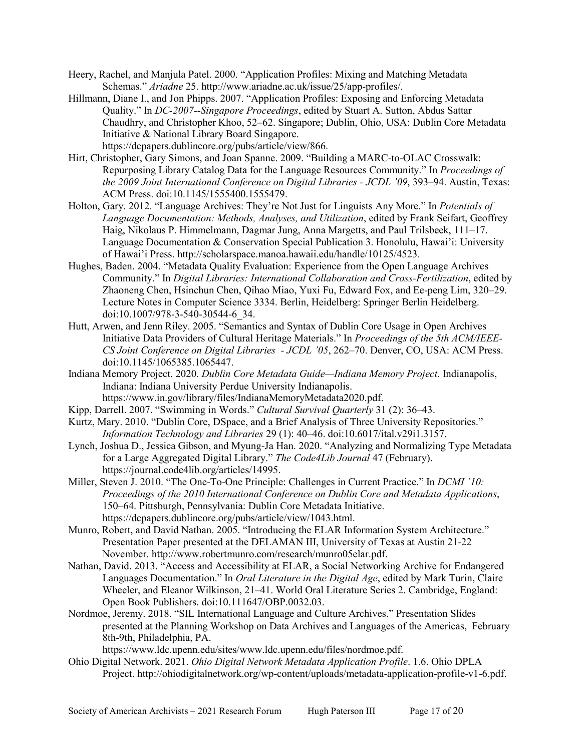- Heery, Rachel, and Manjula Patel. 2000. "Application Profiles: Mixing and Matching Metadata Schemas." *Ariadne* 25. [http://www.ariadne.ac.uk/issue/25/app-profiles/.](http://www.ariadne.ac.uk/issue/25/app-profiles/)
- Hillmann, Diane I., and Jon Phipps. 2007. "Application Profiles: Exposing and Enforcing Metadata Quality." In *DC-2007--Singapore Proceedings*, edited by Stuart A. Sutton, Abdus Sattar Chaudhry, and Christopher Khoo, 52–62. Singapore; Dublin, Ohio, USA: Dublin Core Metadata Initiative & National Library Board Singapore. [https://dcpapers.dublincore.org/pubs/article/view/866.](https://dcpapers.dublincore.org/pubs/article/view/866)
- Hirt, Christopher, Gary Simons, and Joan Spanne. 2009. "Building a MARC-to-OLAC Crosswalk: Repurposing Library Catalog Data for the Language Resources Community." In *Proceedings of the 2009 Joint International Conference on Digital Libraries - JCDL '09*, 393–94. Austin, Texas: ACM Press. doi[:10.1145/1555400.1555479.](https://doi.org/10.1145/1555400.1555479)
- Holton, Gary. 2012. "Language Archives: They're Not Just for Linguists Any More." In *Potentials of Language Documentation: Methods, Analyses, and Utilization*, edited by Frank Seifart, Geoffrey Haig, Nikolaus P. Himmelmann, Dagmar Jung, Anna Margetts, and Paul Trilsbeek, 111–17. Language Documentation & Conservation Special Publication 3. Honolulu, Hawai'i: University of Hawai'i Press. [http://scholarspace.manoa.hawaii.edu/handle/10125/4523.](http://scholarspace.manoa.hawaii.edu/handle/10125/4523)
- Hughes, Baden. 2004. "Metadata Quality Evaluation: Experience from the Open Language Archives Community." In *Digital Libraries: International Collaboration and Cross-Fertilization*, edited by Zhaoneng Chen, Hsinchun Chen, Qihao Miao, Yuxi Fu, Edward Fox, and Ee-peng Lim, 320–29. Lecture Notes in Computer Science 3334. Berlin, Heidelberg: Springer Berlin Heidelberg. doi[:10.1007/978-3-540-30544-6\\_34.](https://doi.org/10.1007/978-3-540-30544-6_34)
- Hutt, Arwen, and Jenn Riley. 2005. "Semantics and Syntax of Dublin Core Usage in Open Archives Initiative Data Providers of Cultural Heritage Materials." In *Proceedings of the 5th ACM/IEEE-CS Joint Conference on Digital Libraries - JCDL '05*, 262–70. Denver, CO, USA: ACM Press. doi[:10.1145/1065385.1065447.](https://doi.org/10.1145/1065385.1065447)
- Indiana Memory Project. 2020. *Dublin Core Metadata Guide—Indiana Memory Project*. Indianapolis, Indiana: Indiana University Perdue University Indianapolis. [https://www.in.gov/library/files/IndianaMemoryMetadata2020.pdf.](https://www.in.gov/library/files/IndianaMemoryMetadata2020.pdf)
- Kipp, Darrell. 2007. "Swimming in Words." *Cultural Survival Quarterly* 31 (2): 36–43.
- Kurtz, Mary. 2010. "Dublin Core, DSpace, and a Brief Analysis of Three University Repositories." *Information Technology and Libraries* 29 (1): 40–46. doi[:10.6017/ital.v29i1.3157.](https://doi.org/10.6017/ital.v29i1.3157)
- Lynch, Joshua D., Jessica Gibson, and Myung-Ja Han. 2020. "Analyzing and Normalizing Type Metadata for a Large Aggregated Digital Library." *The Code4Lib Journal* 47 (February). [https://journal.code4lib.org/articles/14995.](https://journal.code4lib.org/articles/14995)
- Miller, Steven J. 2010. "The One-To-One Principle: Challenges in Current Practice." In *DCMI '10: Proceedings of the 2010 International Conference on Dublin Core and Metadata Applications*, 150–64. Pittsburgh, Pennsylvania: Dublin Core Metadata Initiative. [https://dcpapers.dublincore.org/pubs/article/view/1043.html.](https://dcpapers.dublincore.org/pubs/article/view/1043.html)
- Munro, Robert, and David Nathan. 2005. "Introducing the ELAR Information System Architecture." Presentation Paper presented at the DELAMAN III, University of Texas at Austin 21-22 November. [http://www.robertmunro.com/research/munro05elar.pdf.](http://www.robertmunro.com/research/munro05elar.pdf)
- Nathan, David. 2013. "Access and Accessibility at ELAR, a Social Networking Archive for Endangered Languages Documentation." In *Oral Literature in the Digital Age*, edited by Mark Turin, Claire Wheeler, and Eleanor Wilkinson, 21–41. World Oral Literature Series 2. Cambridge, England: Open Book Publishers. doi[:10.111647/OBP.0032.03.](https://doi.org/10.111647/OBP.0032.03)
- Nordmoe, Jeremy. 2018. "SIL International Language and Culture Archives." Presentation Slides presented at the Planning Workshop on Data Archives and Languages of the Americas, February 8th-9th, Philadelphia, PA.

[https://www.ldc.upenn.edu/sites/www.ldc.upenn.edu/files/nordmoe.pdf.](https://www.ldc.upenn.edu/sites/www.ldc.upenn.edu/files/nordmoe.pdf)

Ohio Digital Network. 2021. *Ohio Digital Network Metadata Application Profile*. 1.6. Ohio DPLA Project[. http://ohiodigitalnetwork.org/wp-content/uploads/metadata-application-profile-v1-6.pdf.](http://ohiodigitalnetwork.org/wp-content/uploads/metadata-application-profile-v1-6.pdf)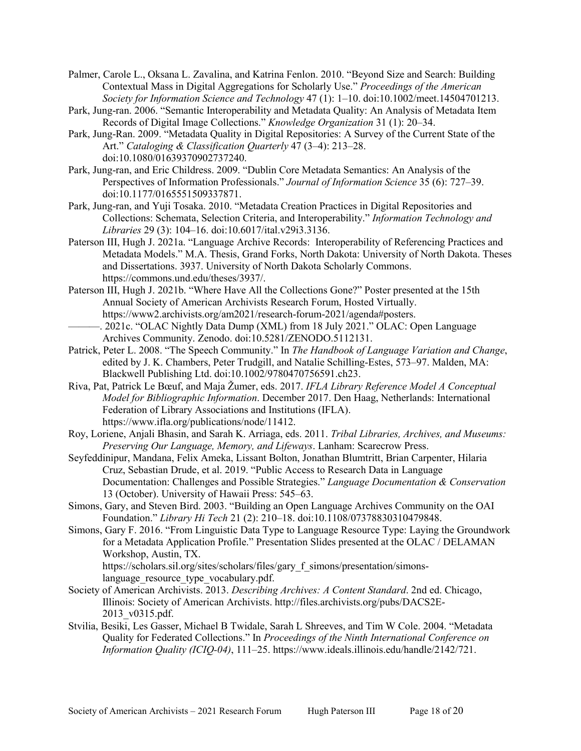Palmer, Carole L., Oksana L. Zavalina, and Katrina Fenlon. 2010. "Beyond Size and Search: Building Contextual Mass in Digital Aggregations for Scholarly Use." *Proceedings of the American Society for Information Science and Technology* 47 (1): 1–10. doi[:10.1002/meet.14504701213.](https://doi.org/10.1002/meet.14504701213)

- Park, Jung-ran. 2006. "Semantic Interoperability and Metadata Quality: An Analysis of Metadata Item Records of Digital Image Collections." *Knowledge Organization* 31 (1): 20–34.
- Park, Jung-Ran. 2009. "Metadata Quality in Digital Repositories: A Survey of the Current State of the Art." *Cataloging & Classification Quarterly* 47 (3–4): 213–28. doi[:10.1080/01639370902737240.](https://doi.org/10.1080/01639370902737240)
- Park, Jung-ran, and Eric Childress. 2009. "Dublin Core Metadata Semantics: An Analysis of the Perspectives of Information Professionals." *Journal of Information Science* 35 (6): 727–39. doi[:10.1177/0165551509337871.](https://doi.org/10.1177/0165551509337871)
- Park, Jung-ran, and Yuji Tosaka. 2010. "Metadata Creation Practices in Digital Repositories and Collections: Schemata, Selection Criteria, and Interoperability." *Information Technology and Libraries* 29 (3): 104–16. doi[:10.6017/ital.v29i3.3136.](https://doi.org/10.6017/ital.v29i3.3136)
- Paterson III, Hugh J. 2021a. "Language Archive Records: Interoperability of Referencing Practices and Metadata Models." M.A. Thesis, Grand Forks, North Dakota: University of North Dakota. Theses and Dissertations. 3937. University of North Dakota Scholarly Commons. [https://commons.und.edu/theses/3937/.](https://commons.und.edu/theses/3937/)
- Paterson III, Hugh J. 2021b. "Where Have All the Collections Gone?" Poster presented at the 15th Annual Society of American Archivists Research Forum, Hosted Virtually. [https://www2.archivists.org/am2021/research-forum-2021/agenda#posters.](https://www2.archivists.org/am2021/research-forum-2021/agenda#posters)
- . 2021c. "OLAC Nightly Data Dump (XML) from 18 July 2021." OLAC: Open Language Archives Community. Zenodo. doi[:10.5281/ZENODO.5112131.](https://doi.org/10.5281/ZENODO.5112131)
- Patrick, Peter L. 2008. "The Speech Community." In *The Handbook of Language Variation and Change*, edited by J. K. Chambers, Peter Trudgill, and Natalie Schilling-Estes, 573–97. Malden, MA: Blackwell Publishing Ltd. doi[:10.1002/9780470756591.ch23.](https://doi.org/10.1002/9780470756591.ch23)
- Riva, Pat, Patrick Le Bœuf, and Maja Žumer, eds. 2017. *IFLA Library Reference Model A Conceptual Model for Bibliographic Information*. December 2017. Den Haag, Netherlands: International Federation of Library Associations and Institutions (IFLA). [https://www.ifla.org/publications/node/11412.](https://www.ifla.org/publications/node/11412)
- Roy, Loriene, Anjali Bhasin, and Sarah K. Arriaga, eds. 2011. *Tribal Libraries, Archives, and Museums: Preserving Our Language, Memory, and Lifeways*. Lanham: Scarecrow Press.
- Seyfeddinipur, Mandana, Felix Ameka, Lissant Bolton, Jonathan Blumtritt, Brian Carpenter, Hilaria Cruz, Sebastian Drude, et al. 2019. "Public Access to Research Data in Language Documentation: Challenges and Possible Strategies." *Language Documentation & Conservation* 13 (October). University of Hawaii Press: 545–63.
- Simons, Gary, and Steven Bird. 2003. "Building an Open Language Archives Community on the OAI Foundation." *Library Hi Tech* 21 (2): 210–18. doi[:10.1108/07378830310479848.](https://doi.org/10.1108/07378830310479848)
- Simons, Gary F. 2016. "From Linguistic Data Type to Language Resource Type: Laying the Groundwork for a Metadata Application Profile." Presentation Slides presented at the OLAC / DELAMAN Workshop, Austin, TX.

https://scholars.sil.org/sites/scholars/files/gary f\_simons/presentation/simons[language\\_resource\\_type\\_vocabulary.pdf.](https://scholars.sil.org/sites/scholars/files/gary_f_simons/presentation/simons-language_resource_type_vocabulary.pdf)

- Society of American Archivists. 2013. *Describing Archives: A Content Standard*. 2nd ed. Chicago, Illinois: Society of American Archivists. [http://files.archivists.org/pubs/DACS2E-](http://files.archivists.org/pubs/DACS2E-2013_v0315.pdf)[2013\\_v0315.pdf.](http://files.archivists.org/pubs/DACS2E-2013_v0315.pdf)
- Stvilia, Besiki, Les Gasser, Michael B Twidale, Sarah L Shreeves, and Tim W Cole. 2004. "Metadata Quality for Federated Collections." In *Proceedings of the Ninth International Conference on Information Quality (ICIQ-04)*, 111–25[. https://www.ideals.illinois.edu/handle/2142/721.](https://www.ideals.illinois.edu/handle/2142/721)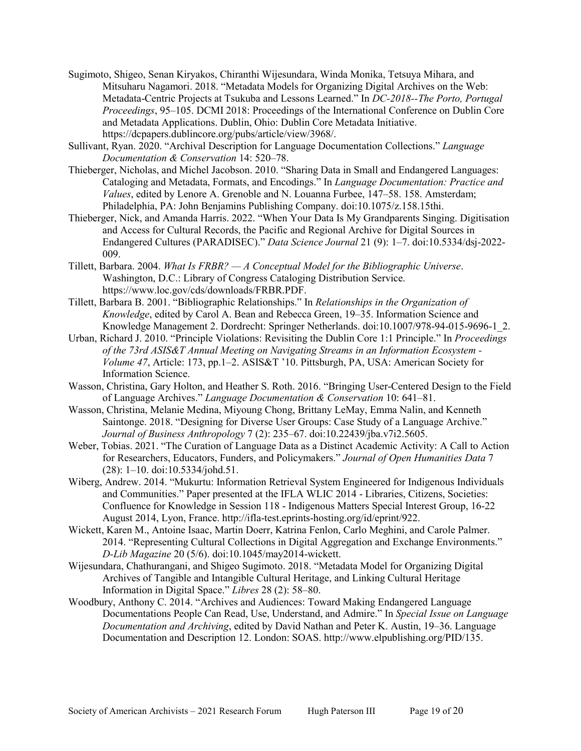- Sugimoto, Shigeo, Senan Kiryakos, Chiranthi Wijesundara, Winda Monika, Tetsuya Mihara, and Mitsuharu Nagamori. 2018. "Metadata Models for Organizing Digital Archives on the Web: Metadata-Centric Projects at Tsukuba and Lessons Learned." In *DC-2018--The Porto, Portugal Proceedings*, 95–105. DCMI 2018: Proceedings of the International Conference on Dublin Core and Metadata Applications. Dublin, Ohio: Dublin Core Metadata Initiative. [https://dcpapers.dublincore.org/pubs/article/view/3968/.](https://dcpapers.dublincore.org/pubs/article/view/3968/)
- Sullivant, Ryan. 2020. "Archival Description for Language Documentation Collections." *Language Documentation & Conservation* 14: 520–78.
- Thieberger, Nicholas, and Michel Jacobson. 2010. "Sharing Data in Small and Endangered Languages: Cataloging and Metadata, Formats, and Encodings." In *Language Documentation: Practice and Values*, edited by Lenore A. Grenoble and N. Louanna Furbee, 147–58. 158. Amsterdam; Philadelphia, PA: John Benjamins Publishing Company. doi[:10.1075/z.158.15thi.](https://doi.org/10.1075/z.158.15thi)
- Thieberger, Nick, and Amanda Harris. 2022. "When Your Data Is My Grandparents Singing. Digitisation and Access for Cultural Records, the Pacific and Regional Archive for Digital Sources in Endangered Cultures (PARADISEC)." *Data Science Journal* 21 (9): 1–7. doi[:10.5334/dsj-2022-](https://doi.org/10.5334/dsj-2022-009) [009.](https://doi.org/10.5334/dsj-2022-009)
- Tillett, Barbara. 2004. *What Is FRBR? — A Conceptual Model for the Bibliographic Universe*. Washington, D.C.: Library of Congress Cataloging Distribution Service. [https://www.loc.gov/cds/downloads/FRBR.PDF.](https://www.loc.gov/cds/downloads/FRBR.PDF)
- Tillett, Barbara B. 2001. "Bibliographic Relationships." In *Relationships in the Organization of Knowledge*, edited by Carol A. Bean and Rebecca Green, 19–35. Information Science and Knowledge Management 2. Dordrecht: Springer Netherlands. doi[:10.1007/978-94-015-9696-1\\_2.](https://doi.org/10.1007/978-94-015-9696-1_2)
- Urban, Richard J. 2010. "Principle Violations: Revisiting the Dublin Core 1:1 Principle." In *Proceedings of the 73rd ASIS&T Annual Meeting on Navigating Streams in an Information Ecosystem - Volume 47*, Article: 173, pp.1–2. ASIS&T '10. Pittsburgh, PA, USA: American Society for Information Science.
- Wasson, Christina, Gary Holton, and Heather S. Roth. 2016. "Bringing User-Centered Design to the Field of Language Archives." *Language Documentation & Conservation* 10: 641–81.
- Wasson, Christina, Melanie Medina, Miyoung Chong, Brittany LeMay, Emma Nalin, and Kenneth Saintonge. 2018. "Designing for Diverse User Groups: Case Study of a Language Archive." *Journal of Business Anthropology* 7 (2): 235–67. doi[:10.22439/jba.v7i2.5605.](https://doi.org/10.22439/jba.v7i2.5605)
- Weber, Tobias. 2021. "The Curation of Language Data as a Distinct Academic Activity: A Call to Action for Researchers, Educators, Funders, and Policymakers." *Journal of Open Humanities Data* 7 (28): 1–10. doi[:10.5334/johd.51.](https://doi.org/10.5334/johd.51)
- Wiberg, Andrew. 2014. "Mukurtu: Information Retrieval System Engineered for Indigenous Individuals and Communities." Paper presented at the IFLA WLIC 2014 - Libraries, Citizens, Societies: Confluence for Knowledge in Session 118 - Indigenous Matters Special Interest Group, 16-22 August 2014, Lyon, France. [http://ifla-test.eprints-hosting.org/id/eprint/922.](http://ifla-test.eprints-hosting.org/id/eprint/922)
- Wickett, Karen M., Antoine Isaac, Martin Doerr, Katrina Fenlon, Carlo Meghini, and Carole Palmer. 2014. "Representing Cultural Collections in Digital Aggregation and Exchange Environments." *D-Lib Magazine* 20 (5/6). doi[:10.1045/may2014-wickett.](https://doi.org/10.1045/may2014-wickett)
- Wijesundara, Chathurangani, and Shigeo Sugimoto. 2018. "Metadata Model for Organizing Digital Archives of Tangible and Intangible Cultural Heritage, and Linking Cultural Heritage Information in Digital Space." *Libres* 28 (2): 58–80.
- Woodbury, Anthony C. 2014. "Archives and Audiences: Toward Making Endangered Language Documentations People Can Read, Use, Understand, and Admire." In *Special Issue on Language Documentation and Archiving*, edited by David Nathan and Peter K. Austin, 19–36. Language Documentation and Description 12. London: SOAS. [http://www.elpublishing.org/PID/135.](http://www.elpublishing.org/PID/135)